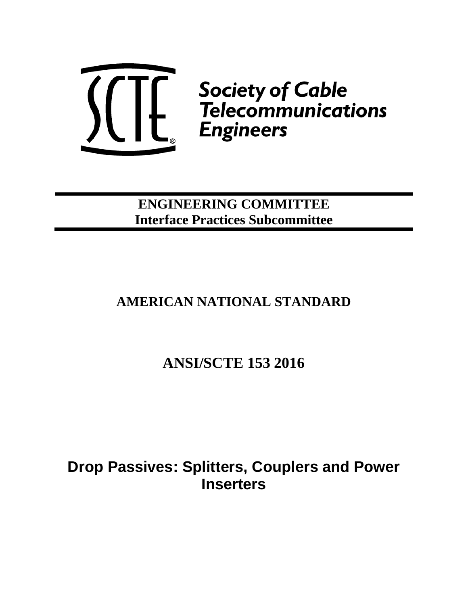

**ENGINEERING COMMITTEE Interface Practices Subcommittee**

## **AMERICAN NATIONAL STANDARD**

# **ANSI/SCTE 153 2016**

**Drop Passives: Splitters, Couplers and Power Inserters**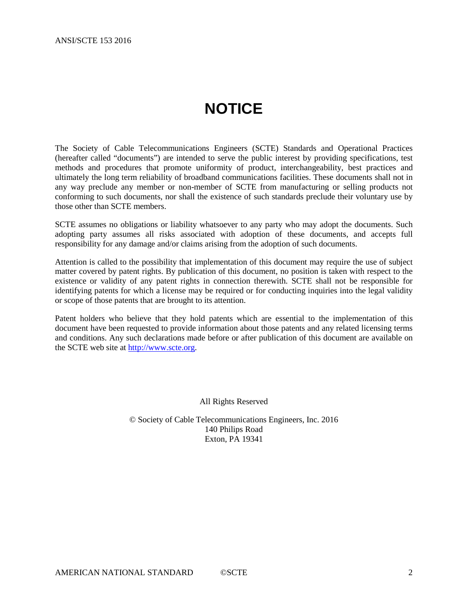# **NOTICE**

<span id="page-1-0"></span>The Society of Cable Telecommunications Engineers (SCTE) Standards and Operational Practices (hereafter called "documents") are intended to serve the public interest by providing specifications, test methods and procedures that promote uniformity of product, interchangeability, best practices and ultimately the long term reliability of broadband communications facilities. These documents shall not in any way preclude any member or non-member of SCTE from manufacturing or selling products not conforming to such documents, nor shall the existence of such standards preclude their voluntary use by those other than SCTE members.

SCTE assumes no obligations or liability whatsoever to any party who may adopt the documents. Such adopting party assumes all risks associated with adoption of these documents, and accepts full responsibility for any damage and/or claims arising from the adoption of such documents.

Attention is called to the possibility that implementation of this document may require the use of subject matter covered by patent rights. By publication of this document, no position is taken with respect to the existence or validity of any patent rights in connection therewith. SCTE shall not be responsible for identifying patents for which a license may be required or for conducting inquiries into the legal validity or scope of those patents that are brought to its attention.

Patent holders who believe that they hold patents which are essential to the implementation of this document have been requested to provide information about those patents and any related licensing terms and conditions. Any such declarations made before or after publication of this document are available on the SCTE web site at [http://www.scte.org.](http://www.scte.org/)

All Rights Reserved

© Society of Cable Telecommunications Engineers, Inc. 2016 140 Philips Road Exton, PA 19341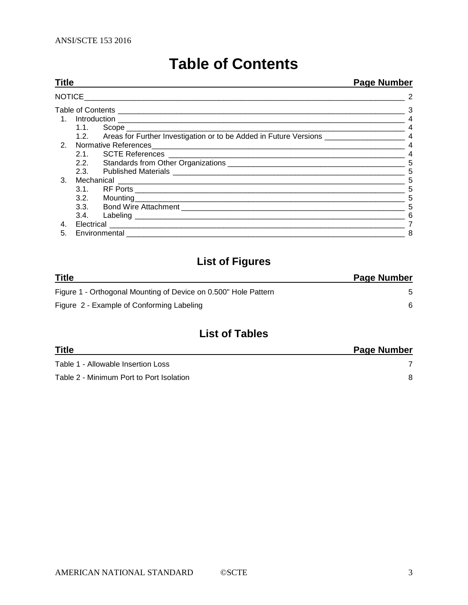| <b>Table of Contents</b> |  |  |  |  |
|--------------------------|--|--|--|--|
|--------------------------|--|--|--|--|

<span id="page-2-0"></span>

| <b>Title</b>   |  | <b>Page Number</b> |
|----------------|--|--------------------|
| <b>NOTICE</b>  |  | 2                  |
|                |  |                    |
|                |  |                    |
|                |  |                    |
|                |  |                    |
|                |  | $\overline{4}$     |
|                |  |                    |
|                |  | 5                  |
|                |  | 5                  |
| 3.             |  | 5                  |
|                |  | 5                  |
|                |  | 5                  |
|                |  | 5                  |
|                |  | 6                  |
| $\mathbf{4}$ . |  |                    |
| 5.             |  | 8                  |

## **List of Figures**

| <b>Title</b>                                                    | <b>Page Number</b> |
|-----------------------------------------------------------------|--------------------|
| Figure 1 - Orthogonal Mounting of Device on 0.500" Hole Pattern |                    |
| Figure 2 - Example of Conforming Labeling                       |                    |

## **List of Tables**

| Title                                    | Page Number |
|------------------------------------------|-------------|
| Table 1 - Allowable Insertion Loss       |             |
| Table 2 - Minimum Port to Port Isolation |             |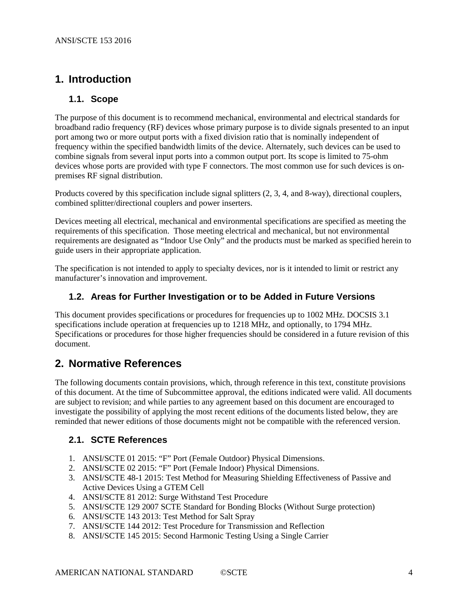## <span id="page-3-0"></span>**1. Introduction**

## <span id="page-3-1"></span>**1.1. Scope**

The purpose of this document is to recommend mechanical, environmental and electrical standards for broadband radio frequency (RF) devices whose primary purpose is to divide signals presented to an input port among two or more output ports with a fixed division ratio that is nominally independent of frequency within the specified bandwidth limits of the device. Alternately, such devices can be used to combine signals from several input ports into a common output port. Its scope is limited to 75-ohm devices whose ports are provided with type F connectors. The most common use for such devices is onpremises RF signal distribution.

Products covered by this specification include signal splitters (2, 3, 4, and 8-way), directional couplers, combined splitter/directional couplers and power inserters.

Devices meeting all electrical, mechanical and environmental specifications are specified as meeting the requirements of this specification. Those meeting electrical and mechanical, but not environmental requirements are designated as "Indoor Use Only" and the products must be marked as specified herein to guide users in their appropriate application.

The specification is not intended to apply to specialty devices, nor is it intended to limit or restrict any manufacturer's innovation and improvement.

### <span id="page-3-2"></span>**1.2. Areas for Further Investigation or to be Added in Future Versions**

This document provides specifications or procedures for frequencies up to 1002 MHz. DOCSIS 3.1 specifications include operation at frequencies up to 1218 MHz, and optionally, to 1794 MHz. Specifications or procedures for those higher frequencies should be considered in a future revision of this document.

## <span id="page-3-3"></span>**2. Normative References**

The following documents contain provisions, which, through reference in this text, constitute provisions of this document. At the time of Subcommittee approval, the editions indicated were valid. All documents are subject to revision; and while parties to any agreement based on this document are encouraged to investigate the possibility of applying the most recent editions of the documents listed below, they are reminded that newer editions of those documents might not be compatible with the referenced version.

### <span id="page-3-4"></span>**2.1. SCTE References**

- 1. ANSI/SCTE 01 2015: "F" Port (Female Outdoor) Physical Dimensions.
- 2. ANSI/SCTE 02 2015: "F" Port (Female Indoor) Physical Dimensions.
- 3. ANSI/SCTE 48-1 2015: Test Method for Measuring Shielding Effectiveness of Passive and Active Devices Using a GTEM Cell
- 4. ANSI/SCTE 81 2012: Surge Withstand Test Procedure
- 5. ANSI/SCTE 129 2007 SCTE Standard for Bonding Blocks (Without Surge protection)
- 6. ANSI/SCTE 143 2013: Test Method for Salt Spray
- 7. ANSI/SCTE 144 2012: Test Procedure for Transmission and Reflection
- 8. ANSI/SCTE 145 2015: Second Harmonic Testing Using a Single Carrier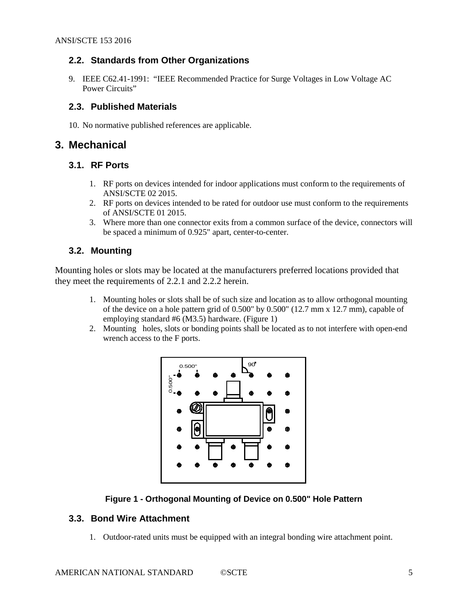### <span id="page-4-0"></span>**2.2. Standards from Other Organizations**

9. IEEE C62.41-1991: "IEEE Recommended Practice for Surge Voltages in Low Voltage AC Power Circuits"

### <span id="page-4-1"></span>**2.3. Published Materials**

10. No normative published references are applicable.

## <span id="page-4-2"></span>**3. Mechanical**

## <span id="page-4-3"></span>**3.1. RF Ports**

- 1. RF ports on devices intended for indoor applications must conform to the requirements of ANSI/SCTE 02 2015.
- 2. RF ports on devices intended to be rated for outdoor use must conform to the requirements of ANSI/SCTE 01 2015.
- 3. Where more than one connector exits from a common surface of the device, connectors will be spaced a minimum of 0.925" apart, center-to-center.

## <span id="page-4-4"></span>**3.2. Mounting**

Mounting holes or slots may be located at the manufacturers preferred locations provided that they meet the requirements of 2.2.1 and 2.2.2 herein.

- 1. Mounting holes or slots shall be of such size and location as to allow orthogonal mounting of the device on a hole pattern grid of  $0.500''$  by  $0.500''$  (12.7 mm x 12.7 mm), capable of employing standard #6 (M3.5) hardware. (Figure 1)
- 2. Mounting holes, slots or bonding points shall be located as to not interfere with open-end wrench access to the F ports.



### **Figure 1 - Orthogonal Mounting of Device on 0.500" Hole Pattern**

### <span id="page-4-6"></span><span id="page-4-5"></span>**3.3. Bond Wire Attachment**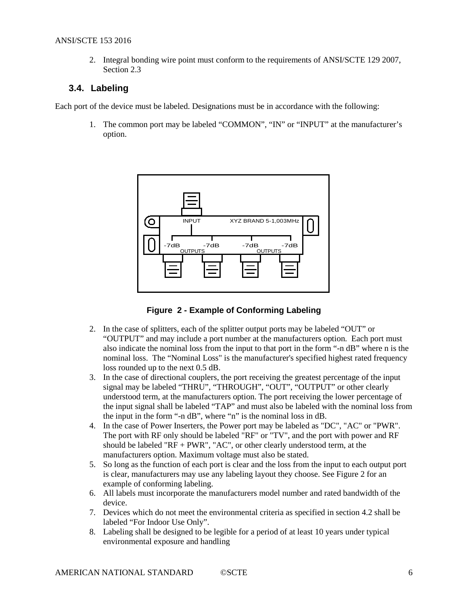2. Integral bonding wire point must conform to the requirements of ANSI/SCTE 129 2007, Section 2.3

## <span id="page-5-0"></span>**3.4. Labeling**

Each port of the device must be labeled. Designations must be in accordance with the following:

1. The common port may be labeled "COMMON", "IN" or "INPUT" at the manufacturer's option.



**Figure 2 - Example of Conforming Labeling**

- <span id="page-5-1"></span>2. In the case of splitters, each of the splitter output ports may be labeled "OUT" or "OUTPUT" and may include a port number at the manufacturers option. Each port must also indicate the nominal loss from the input to that port in the form "-n dB" where n is the nominal loss. The "Nominal Loss" is the manufacturer's specified highest rated frequency loss rounded up to the next 0.5 dB.
- 3. In the case of directional couplers, the port receiving the greatest percentage of the input signal may be labeled "THRU", "THROUGH", "OUT", "OUTPUT" or other clearly understood term, at the manufacturers option. The port receiving the lower percentage of the input signal shall be labeled "TAP" and must also be labeled with the nominal loss from the input in the form "-n dB", where "n" is the nominal loss in dB.
- 4. In the case of Power Inserters, the Power port may be labeled as "DC", "AC" or "PWR". The port with RF only should be labeled "RF" or "TV", and the port with power and RF should be labeled "RF + PWR", "AC", or other clearly understood term, at the manufacturers option. Maximum voltage must also be stated.
- 5. So long as the function of each port is clear and the loss from the input to each output port is clear, manufacturers may use any labeling layout they choose. See Figure 2 for an example of conforming labeling.
- 6. All labels must incorporate the manufacturers model number and rated bandwidth of the device.
- 7. Devices which do not meet the environmental criteria as specified in section 4.2 shall be labeled "For Indoor Use Only".
- 8. Labeling shall be designed to be legible for a period of at least 10 years under typical environmental exposure and handling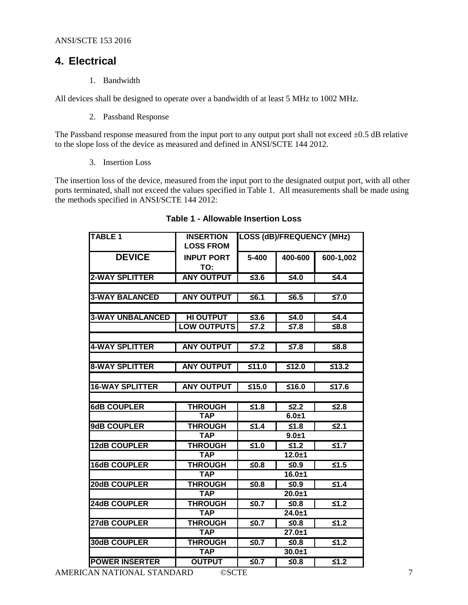## <span id="page-6-0"></span>**4. Electrical**

1. Bandwidth

All devices shall be designed to operate over a bandwidth of at least 5 MHz to 1002 MHz.

2. Passband Response

The Passband response measured from the input port to any output port shall not exceed  $\pm 0.5$  dB relative to the slope loss of the device as measured and defined in ANSI/SCTE 144 2012.

3. Insertion Loss

<span id="page-6-1"></span>The insertion loss of the device, measured from the input port to the designated output port, with all other ports terminated, shall not exceed the values specified in Table 1. All measurements shall be made using the methods specified in ANSI/SCTE 144 2012:

| <b>TABLE 1</b>          | <b>INSERTION</b><br><b>LOSS FROM</b> | <b>LOSS (dB)/FREQUENCY (MHz)</b> |                       |                       |
|-------------------------|--------------------------------------|----------------------------------|-----------------------|-----------------------|
| <b>DEVICE</b>           | <b>INPUT PORT</b><br>TO:             | $5 - 400$                        | 400-600               | 600-1,002             |
| <b>2-WAY SPLITTER</b>   | <b>ANY OUTPUT</b>                    | $\overline{\leq}3.6$             | $\overline{\leq 4.0}$ | $\leq 4.4$            |
|                         |                                      |                                  |                       |                       |
| <b>3-WAY BALANCED</b>   | <b>ANY OUTPUT</b>                    | $\leq 6.1$                       | $\overline{\leq}6.5$  | $\overline{57.0}$     |
|                         |                                      |                                  |                       |                       |
| <b>3-WAY UNBALANCED</b> | <b>HI OUTPUT</b>                     | ≤3.6                             | $≤4.0$                | $\leq 4.4$            |
|                         | <b>LOW OUTPUTS</b>                   | $\leq 7.2$                       | $≤7.8$                | $≤8.8$                |
|                         |                                      |                                  |                       |                       |
| <b>4-WAY SPLITTER</b>   | <b>ANY OUTPUT</b>                    | $\overline{57.2}$                | $\overline{\leq}7.8$  | ≤8.8                  |
| <b>8-WAY SPLITTER</b>   | <b>ANY OUTPUT</b>                    | ≤11.0                            | ≤12.0                 | $\overline{\leq}13.2$ |
|                         |                                      |                                  |                       |                       |
| <b>16-WAY SPLITTER</b>  | <b>ANY OUTPUT</b>                    | $≤15.0$                          | $≤16.0$               | 517.6                 |
|                         |                                      |                                  |                       |                       |
| <b>6dB COUPLER</b>      | <b>THROUGH</b>                       | ≤1.8                             | $\overline{\leq}2.2$  | $\overline{\leq}2.8$  |
|                         | <b>TAP</b>                           |                                  | $6.0 + 1$             |                       |
| 9dB COUPLER             | <b>THROUGH</b>                       | $\leq 1.4$                       | $≤1.8$                | $\leq 2.1$            |
|                         | <b>TAP</b>                           |                                  | $9.0 + 1$             |                       |
| <b>12dB COUPLER</b>     | <b>THROUGH</b>                       | $≤1.0$                           | $\overline{\leq 1.2}$ | $\overline{\leq 1.7}$ |
|                         | <b>TAP</b>                           |                                  | $12.0 + 1$            |                       |
| <b>16dB COUPLER</b>     | <b>THROUGH</b>                       | $\overline{\leq}0.8$             | $\overline{\leq}0.9$  | $\overline{\leq}1.5$  |
|                         | <b>TAP</b>                           |                                  | $16.0 + 1$            |                       |
| 20dB COUPLER            | <b>THROUGH</b>                       | ≤0.8                             | ≤0.9                  | $\overline{\leq 1.4}$ |
|                         | <b>TAP</b>                           |                                  | $20.0 + 1$            |                       |
| 24dB COUPLER            | <b>THROUGH</b>                       | ≤0.7                             | $≤0.8$                | $\overline{\leq}1.2$  |
|                         | <b>TAP</b>                           |                                  | $24.0 + 1$            |                       |
| 27dB COUPLER            | <b>THROUGH</b>                       | $≤0.7$                           | ≤0.8                  | $\overline{\leq 1.2}$ |
|                         | <b>TAP</b>                           |                                  | $27.0 + 1$            |                       |
| <b>30dB COUPLER</b>     | <b>THROUGH</b>                       | $\overline{\leq}0.7$             | ≤0.8                  | $\overline{\leq}1.2$  |
|                         | <b>TAP</b>                           |                                  | $30.0 + 1$            |                       |
| <b>POWER INSERTER</b>   | <b>OUTPUT</b>                        | $\overline{\leq}0.7$             | $\overline{\leq}0.8$  | $\leq 1.2$            |

#### **Table 1 - Allowable Insertion Loss**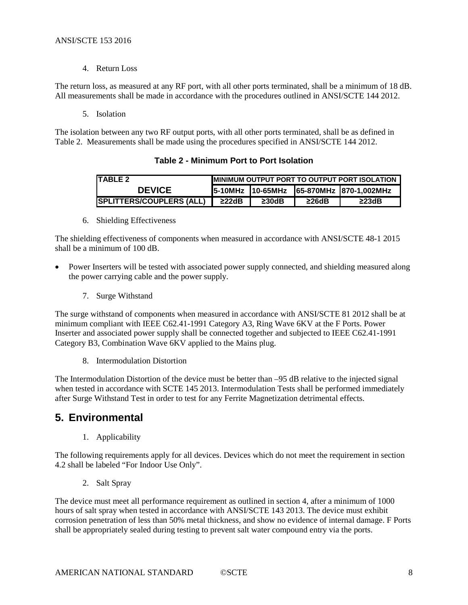4. Return Loss

The return loss, as measured at any RF port, with all other ports terminated, shall be a minimum of 18 dB. All measurements shall be made in accordance with the procedures outlined in ANSI/SCTE 144 2012.

5. Isolation

<span id="page-7-1"></span>The isolation between any two RF output ports, with all other ports terminated, shall be as defined in Table 2. Measurements shall be made using the procedures specified in ANSI/SCTE 144 2012.

| ITABLE 2                        | <b>MINIMUM OUTPUT PORT TO OUTPUT PORT ISOLATION</b> |                  |             |                        |
|---------------------------------|-----------------------------------------------------|------------------|-------------|------------------------|
| <b>DEVICE</b>                   |                                                     | 5-10MHz 10-65MHz |             | 65-870MHz 870-1,002MHz |
| <b>SPLITTERS/COUPLERS (ALL)</b> | $\geq$ 22dB                                         | $\geq$ 30dB      | $\geq$ 26dB | $\geq$ 23dB            |

- **Table 2 - Minimum Port to Port Isolation**
- 6. Shielding Effectiveness

The shielding effectiveness of components when measured in accordance with ANSI/SCTE 48-1 2015 shall be a minimum of 100 dB.

- Power Inserters will be tested with associated power supply connected, and shielding measured along the power carrying cable and the power supply.
	- 7. Surge Withstand

The surge withstand of components when measured in accordance with ANSI/SCTE 81 2012 shall be at minimum compliant with IEEE C62.41-1991 Category A3, Ring Wave 6KV at the F Ports. Power Inserter and associated power supply shall be connected together and subjected to IEEE C62.41-1991 Category B3, Combination Wave 6KV applied to the Mains plug.

8. Intermodulation Distortion

The Intermodulation Distortion of the device must be better than –95 dB relative to the injected signal when tested in accordance with SCTE 145 2013. Intermodulation Tests shall be performed immediately after Surge Withstand Test in order to test for any Ferrite Magnetization detrimental effects.

## <span id="page-7-0"></span>**5. Environmental**

1. Applicability

The following requirements apply for all devices. Devices which do not meet the requirement in section 4.2 shall be labeled "For Indoor Use Only".

2. Salt Spray

The device must meet all performance requirement as outlined in section 4, after a minimum of 1000 hours of salt spray when tested in accordance with ANSI/SCTE 143 2013. The device must exhibit corrosion penetration of less than 50% metal thickness, and show no evidence of internal damage. F Ports shall be appropriately sealed during testing to prevent salt water compound entry via the ports.